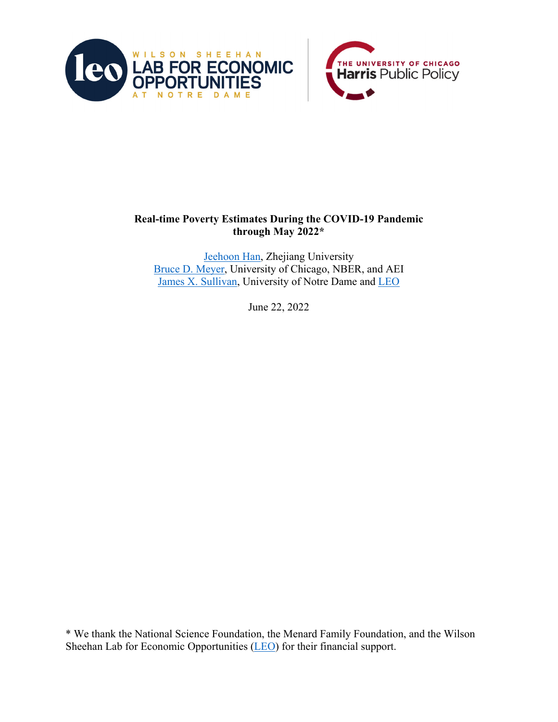



## **Real-time Poverty Estimates During the COVID-19 Pandemic through May 2022\***

Jeehoon Han, Zhejiang University Bruce D. Meyer, University of Chicago, NBER, and AEI James X. Sullivan, University of Notre Dame and LEO

June 22, 2022

\* We thank the National Science Foundation, the Menard Family Foundation, and the Wilson Sheehan Lab for Economic Opportunities (LEO) for their financial support.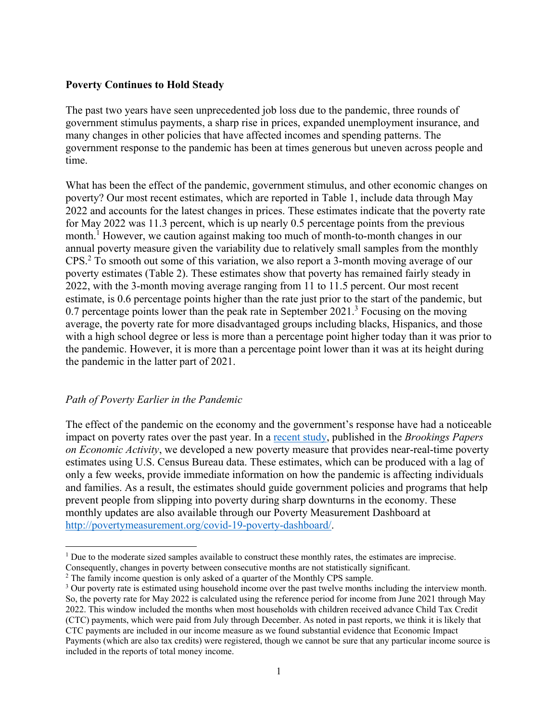## **Poverty Continues to Hold Steady**

The past two years have seen unprecedented job loss due to the pandemic, three rounds of government stimulus payments, a sharp rise in prices, expanded unemployment insurance, and many changes in other policies that have affected incomes and spending patterns. The government response to the pandemic has been at times generous but uneven across people and time.

What has been the effect of the pandemic, government stimulus, and other economic changes on poverty? Our most recent estimates, which are reported in Table 1, include data through May 2022 and accounts for the latest changes in prices. These estimates indicate that the poverty rate for May 2022 was 11.3 percent, which is up nearly 0.5 percentage points from the previous month.<sup>1</sup> However, we caution against making too much of month-to-month changes in our annual poverty measure given the variability due to relatively small samples from the monthly CPS.<sup>2</sup> To smooth out some of this variation, we also report a 3-month moving average of our poverty estimates (Table 2). These estimates show that poverty has remained fairly steady in 2022, with the 3-month moving average ranging from 11 to 11.5 percent. Our most recent estimate, is 0.6 percentage points higher than the rate just prior to the start of the pandemic, but 0.7 percentage points lower than the peak rate in September  $2021$ <sup>3</sup> Focusing on the moving average, the poverty rate for more disadvantaged groups including blacks, Hispanics, and those with a high school degree or less is more than a percentage point higher today than it was prior to the pandemic. However, it is more than a percentage point lower than it was at its height during the pandemic in the latter part of 2021.

## *Path of Poverty Earlier in the Pandemic*

The effect of the pandemic on the economy and the government's response have had a noticeable impact on poverty rates over the past year. In a recent study, published in the *Brookings Papers on Economic Activity*, we developed a new poverty measure that provides near-real-time poverty estimates using U.S. Census Bureau data. These estimates, which can be produced with a lag of only a few weeks, provide immediate information on how the pandemic is affecting individuals and families. As a result, the estimates should guide government policies and programs that help prevent people from slipping into poverty during sharp downturns in the economy. These monthly updates are also available through our Poverty Measurement Dashboard at http://povertymeasurement.org/covid-19-poverty-dashboard/.

<sup>&</sup>lt;sup>1</sup> Due to the moderate sized samples available to construct these monthly rates, the estimates are imprecise. Consequently, changes in poverty between consecutive months are not statistically significant.

 $2$  The family income question is only asked of a quarter of the Monthly CPS sample.

<sup>&</sup>lt;sup>3</sup> Our poverty rate is estimated using household income over the past twelve months including the interview month. So, the poverty rate for May 2022 is calculated using the reference period for income from June 2021 through May 2022. This window included the months when most households with children received advance Child Tax Credit (CTC) payments, which were paid from July through December. As noted in past reports, we think it is likely that CTC payments are included in our income measure as we found substantial evidence that Economic Impact Payments (which are also tax credits) were registered, though we cannot be sure that any particular income source is included in the reports of total money income.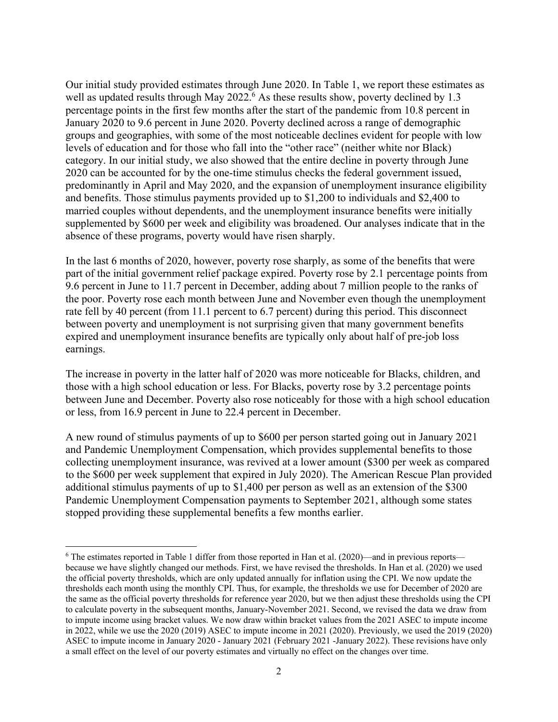Our initial study provided estimates through June 2020. In Table 1, we report these estimates as well as updated results through May 2022.<sup>6</sup> As these results show, poverty declined by 1.3 percentage points in the first few months after the start of the pandemic from 10.8 percent in January 2020 to 9.6 percent in June 2020. Poverty declined across a range of demographic groups and geographies, with some of the most noticeable declines evident for people with low levels of education and for those who fall into the "other race" (neither white nor Black) category. In our initial study, we also showed that the entire decline in poverty through June 2020 can be accounted for by the one-time stimulus checks the federal government issued, predominantly in April and May 2020, and the expansion of unemployment insurance eligibility and benefits. Those stimulus payments provided up to \$1,200 to individuals and \$2,400 to married couples without dependents, and the unemployment insurance benefits were initially supplemented by \$600 per week and eligibility was broadened. Our analyses indicate that in the absence of these programs, poverty would have risen sharply.

In the last 6 months of 2020, however, poverty rose sharply, as some of the benefits that were part of the initial government relief package expired. Poverty rose by 2.1 percentage points from 9.6 percent in June to 11.7 percent in December, adding about 7 million people to the ranks of the poor. Poverty rose each month between June and November even though the unemployment rate fell by 40 percent (from 11.1 percent to 6.7 percent) during this period. This disconnect between poverty and unemployment is not surprising given that many government benefits expired and unemployment insurance benefits are typically only about half of pre-job loss earnings.

The increase in poverty in the latter half of 2020 was more noticeable for Blacks, children, and those with a high school education or less. For Blacks, poverty rose by 3.2 percentage points between June and December. Poverty also rose noticeably for those with a high school education or less, from 16.9 percent in June to 22.4 percent in December.

A new round of stimulus payments of up to \$600 per person started going out in January 2021 and Pandemic Unemployment Compensation, which provides supplemental benefits to those collecting unemployment insurance, was revived at a lower amount (\$300 per week as compared to the \$600 per week supplement that expired in July 2020). The American Rescue Plan provided additional stimulus payments of up to \$1,400 per person as well as an extension of the \$300 Pandemic Unemployment Compensation payments to September 2021, although some states stopped providing these supplemental benefits a few months earlier.

<sup>&</sup>lt;sup>6</sup> The estimates reported in Table 1 differ from those reported in Han et al. (2020)—and in previous reports because we have slightly changed our methods. First, we have revised the thresholds. In Han et al. (2020) we used the official poverty thresholds, which are only updated annually for inflation using the CPI. We now update the thresholds each month using the monthly CPI. Thus, for example, the thresholds we use for December of 2020 are the same as the official poverty thresholds for reference year 2020, but we then adjust these thresholds using the CPI to calculate poverty in the subsequent months, January-November 2021. Second, we revised the data we draw from to impute income using bracket values. We now draw within bracket values from the 2021 ASEC to impute income in 2022, while we use the 2020 (2019) ASEC to impute income in 2021 (2020). Previously, we used the 2019 (2020) ASEC to impute income in January 2020 - January 2021 (February 2021 -January 2022). These revisions have only a small effect on the level of our poverty estimates and virtually no effect on the changes over time.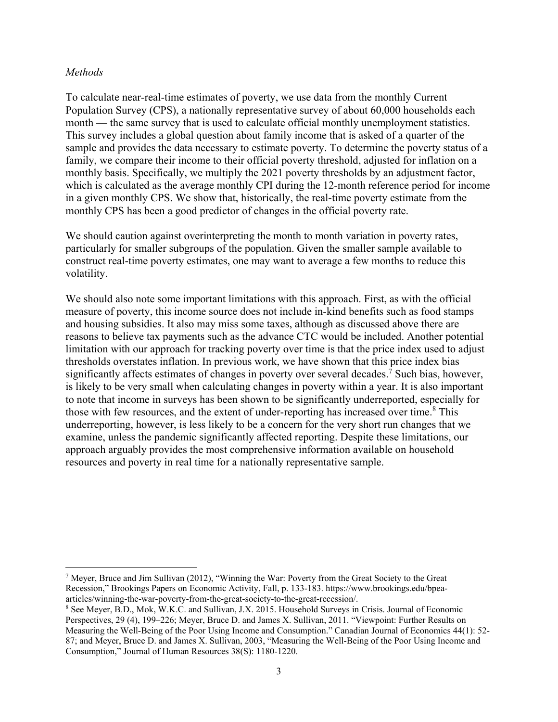## *Methods*

To calculate near-real-time estimates of poverty, we use data from the monthly Current Population Survey (CPS), a nationally representative survey of about 60,000 households each month — the same survey that is used to calculate official monthly unemployment statistics. This survey includes a global question about family income that is asked of a quarter of the sample and provides the data necessary to estimate poverty. To determine the poverty status of a family, we compare their income to their official poverty threshold, adjusted for inflation on a monthly basis. Specifically, we multiply the 2021 poverty thresholds by an adjustment factor, which is calculated as the average monthly CPI during the 12-month reference period for income in a given monthly CPS. We show that, historically, the real-time poverty estimate from the monthly CPS has been a good predictor of changes in the official poverty rate.

We should caution against overinterpreting the month to month variation in poverty rates, particularly for smaller subgroups of the population. Given the smaller sample available to construct real-time poverty estimates, one may want to average a few months to reduce this volatility.

We should also note some important limitations with this approach. First, as with the official measure of poverty, this income source does not include in-kind benefits such as food stamps and housing subsidies. It also may miss some taxes, although as discussed above there are reasons to believe tax payments such as the advance CTC would be included. Another potential limitation with our approach for tracking poverty over time is that the price index used to adjust thresholds overstates inflation. In previous work, we have shown that this price index bias significantly affects estimates of changes in poverty over several decades.<sup>7</sup> Such bias, however, is likely to be very small when calculating changes in poverty within a year. It is also important to note that income in surveys has been shown to be significantly underreported, especially for those with few resources, and the extent of under-reporting has increased over time.<sup>8</sup> This underreporting, however, is less likely to be a concern for the very short run changes that we examine, unless the pandemic significantly affected reporting. Despite these limitations, our approach arguably provides the most comprehensive information available on household resources and poverty in real time for a nationally representative sample.

<sup>&</sup>lt;sup>7</sup> Meyer, Bruce and Jim Sullivan (2012), "Winning the War: Poverty from the Great Society to the Great Recession," Brookings Papers on Economic Activity, Fall, p. 133-183. https://www.brookings.edu/bpeaarticles/winning-the-war-poverty-from-the-great-society-to-the-great-recession/.

<sup>&</sup>lt;sup>8</sup> See Meyer, B.D., Mok, W.K.C. and Sullivan, J.X. 2015. Household Surveys in Crisis. Journal of Economic Perspectives, 29 (4), 199–226; Meyer, Bruce D. and James X. Sullivan, 2011. "Viewpoint: Further Results on Measuring the Well-Being of the Poor Using Income and Consumption." Canadian Journal of Economics 44(1): 52- 87; and Meyer, Bruce D. and James X. Sullivan, 2003, "Measuring the Well-Being of the Poor Using Income and Consumption," Journal of Human Resources 38(S): 1180-1220.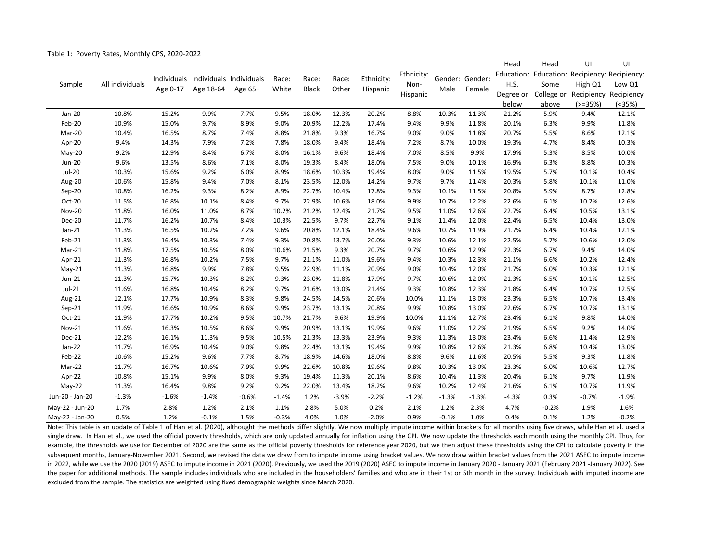| Sample          | All individuals |          | Individuals Individuals Individuals<br>Age 18-64 | Age 65+ | Race:<br>White | Race:<br><b>Black</b> | Race:<br>Other | Ethnicity:<br>Hispanic | Ethnicity:<br>Non-<br>Hispanic | Gender: Gender:<br>Male |         | Head      | Head                  | UI                      | UI         |
|-----------------|-----------------|----------|--------------------------------------------------|---------|----------------|-----------------------|----------------|------------------------|--------------------------------|-------------------------|---------|-----------|-----------------------|-------------------------|------------|
|                 |                 |          |                                                  |         |                |                       |                |                        |                                |                         | Female  |           | Education: Education: | Recipiency: Recipiency: |            |
|                 |                 |          |                                                  |         |                |                       |                |                        |                                |                         |         | H.S.      | Some                  | High Q1                 | Low Q1     |
|                 |                 | Age 0-17 |                                                  |         |                |                       |                |                        |                                |                         |         | Degree or | College or            | Recipiency              | Recipiency |
|                 |                 |          |                                                  |         |                |                       |                |                        |                                |                         |         | below     | above                 | $(>=35%)$               | (<35%)     |
| Jan-20          | 10.8%           | 15.2%    | 9.9%                                             | 7.7%    | 9.5%           | 18.0%                 | 12.3%          | 20.2%                  | 8.8%                           | 10.3%                   | 11.3%   | 21.2%     | 5.9%                  | 9.4%                    | 12.1%      |
| Feb-20          | 10.9%           | 15.0%    | 9.7%                                             | 8.9%    | 9.0%           | 20.9%                 | 12.2%          | 17.4%                  | 9.4%                           | 9.9%                    | 11.8%   | 20.1%     | 6.3%                  | 9.9%                    | 11.8%      |
| Mar-20          | 10.4%           | 16.5%    | 8.7%                                             | 7.4%    | 8.8%           | 21.8%                 | 9.3%           | 16.7%                  | 9.0%                           | 9.0%                    | 11.8%   | 20.7%     | 5.5%                  | 8.6%                    | 12.1%      |
| Apr-20          | 9.4%            | 14.3%    | 7.9%                                             | 7.2%    | 7.8%           | 18.0%                 | 9.4%           | 18.4%                  | 7.2%                           | 8.7%                    | 10.0%   | 19.3%     | 4.7%                  | 8.4%                    | 10.3%      |
| May-20          | 9.2%            | 12.9%    | 8.4%                                             | 6.7%    | 8.0%           | 16.1%                 | 9.6%           | 18.4%                  | 7.0%                           | 8.5%                    | 9.9%    | 17.9%     | 5.3%                  | 8.5%                    | 10.0%      |
| <b>Jun-20</b>   | 9.6%            | 13.5%    | 8.6%                                             | 7.1%    | 8.0%           | 19.3%                 | 8.4%           | 18.0%                  | 7.5%                           | 9.0%                    | 10.1%   | 16.9%     | 6.3%                  | 8.8%                    | 10.3%      |
| $Jul-20$        | 10.3%           | 15.6%    | 9.2%                                             | 6.0%    | 8.9%           | 18.6%                 | 10.3%          | 19.4%                  | 8.0%                           | 9.0%                    | 11.5%   | 19.5%     | 5.7%                  | 10.1%                   | 10.4%      |
| Aug-20          | 10.6%           | 15.8%    | 9.4%                                             | 7.0%    | 8.1%           | 23.5%                 | 12.0%          | 14.2%                  | 9.7%                           | 9.7%                    | 11.4%   | 20.3%     | 5.8%                  | 10.1%                   | 11.0%      |
| Sep-20          | 10.8%           | 16.2%    | 9.3%                                             | 8.2%    | 8.9%           | 22.7%                 | 10.4%          | 17.8%                  | 9.3%                           | 10.1%                   | 11.5%   | 20.8%     | 5.9%                  | 8.7%                    | 12.8%      |
| Oct-20          | 11.5%           | 16.8%    | 10.1%                                            | 8.4%    | 9.7%           | 22.9%                 | 10.6%          | 18.0%                  | 9.9%                           | 10.7%                   | 12.2%   | 22.6%     | 6.1%                  | 10.2%                   | 12.6%      |
| <b>Nov-20</b>   | 11.8%           | 16.0%    | 11.0%                                            | 8.7%    | 10.2%          | 21.2%                 | 12.4%          | 21.7%                  | 9.5%                           | 11.0%                   | 12.6%   | 22.7%     | 6.4%                  | 10.5%                   | 13.1%      |
| Dec-20          | 11.7%           | 16.2%    | 10.7%                                            | 8.4%    | 10.3%          | 22.5%                 | 9.7%           | 22.7%                  | 9.1%                           | 11.4%                   | 12.0%   | 22.4%     | 6.5%                  | 10.4%                   | 13.0%      |
| Jan-21          | 11.3%           | 16.5%    | 10.2%                                            | 7.2%    | 9.6%           | 20.8%                 | 12.1%          | 18.4%                  | 9.6%                           | 10.7%                   | 11.9%   | 21.7%     | 6.4%                  | 10.4%                   | 12.1%      |
| Feb-21          | 11.3%           | 16.4%    | 10.3%                                            | 7.4%    | 9.3%           | 20.8%                 | 13.7%          | 20.0%                  | 9.3%                           | 10.6%                   | 12.1%   | 22.5%     | 5.7%                  | 10.6%                   | 12.0%      |
| Mar-21          | 11.8%           | 17.5%    | 10.5%                                            | 8.0%    | 10.6%          | 21.5%                 | 9.3%           | 20.7%                  | 9.7%                           | 10.6%                   | 12.9%   | 22.3%     | 6.7%                  | 9.4%                    | 14.0%      |
| Apr-21          | 11.3%           | 16.8%    | 10.2%                                            | 7.5%    | 9.7%           | 21.1%                 | 11.0%          | 19.6%                  | 9.4%                           | 10.3%                   | 12.3%   | 21.1%     | 6.6%                  | 10.2%                   | 12.4%      |
| $May-21$        | 11.3%           | 16.8%    | 9.9%                                             | 7.8%    | 9.5%           | 22.9%                 | 11.1%          | 20.9%                  | 9.0%                           | 10.4%                   | 12.0%   | 21.7%     | 6.0%                  | 10.3%                   | 12.1%      |
| Jun-21          | 11.3%           | 15.7%    | 10.3%                                            | 8.2%    | 9.3%           | 23.0%                 | 11.8%          | 17.9%                  | 9.7%                           | 10.6%                   | 12.0%   | 21.3%     | 6.5%                  | 10.1%                   | 12.5%      |
| Jul-21          | 11.6%           | 16.8%    | 10.4%                                            | 8.2%    | 9.7%           | 21.6%                 | 13.0%          | 21.4%                  | 9.3%                           | 10.8%                   | 12.3%   | 21.8%     | 6.4%                  | 10.7%                   | 12.5%      |
| Aug-21          | 12.1%           | 17.7%    | 10.9%                                            | 8.3%    | 9.8%           | 24.5%                 | 14.5%          | 20.6%                  | 10.0%                          | 11.1%                   | 13.0%   | 23.3%     | 6.5%                  | 10.7%                   | 13.4%      |
| $Sep-21$        | 11.9%           | 16.6%    | 10.9%                                            | 8.6%    | 9.9%           | 23.7%                 | 13.1%          | 20.8%                  | 9.9%                           | 10.8%                   | 13.0%   | 22.6%     | 6.7%                  | 10.7%                   | 13.1%      |
| Oct-21          | 11.9%           | 17.7%    | 10.2%                                            | 9.5%    | 10.7%          | 21.7%                 | 9.6%           | 19.9%                  | 10.0%                          | 11.1%                   | 12.7%   | 23.4%     | 6.1%                  | 9.8%                    | 14.0%      |
| Nov-21          | 11.6%           | 16.3%    | 10.5%                                            | 8.6%    | 9.9%           | 20.9%                 | 13.1%          | 19.9%                  | 9.6%                           | 11.0%                   | 12.2%   | 21.9%     | 6.5%                  | 9.2%                    | 14.0%      |
| Dec-21          | 12.2%           | 16.1%    | 11.3%                                            | 9.5%    | 10.5%          | 21.3%                 | 13.3%          | 23.9%                  | 9.3%                           | 11.3%                   | 13.0%   | 23.4%     | 6.6%                  | 11.4%                   | 12.9%      |
| Jan-22          | 11.7%           | 16.9%    | 10.4%                                            | 9.0%    | 9.8%           | 22.4%                 | 13.1%          | 19.4%                  | 9.9%                           | 10.8%                   | 12.6%   | 21.3%     | 6.8%                  | 10.4%                   | 13.0%      |
| Feb-22          | 10.6%           | 15.2%    | 9.6%                                             | 7.7%    | 8.7%           | 18.9%                 | 14.6%          | 18.0%                  | 8.8%                           | 9.6%                    | 11.6%   | 20.5%     | 5.5%                  | 9.3%                    | 11.8%      |
| Mar-22          | 11.7%           | 16.7%    | 10.6%                                            | 7.9%    | 9.9%           | 22.6%                 | 10.8%          | 19.6%                  | 9.8%                           | 10.3%                   | 13.0%   | 23.3%     | 6.0%                  | 10.6%                   | 12.7%      |
| Apr-22          | 10.8%           | 15.1%    | 9.9%                                             | 8.0%    | 9.3%           | 19.4%                 | 11.3%          | 20.1%                  | 8.6%                           | 10.4%                   | 11.3%   | 20.4%     | 6.1%                  | 9.7%                    | 11.9%      |
| $May-22$        | 11.3%           | 16.4%    | 9.8%                                             | 9.2%    | 9.2%           | 22.0%                 | 13.4%          | 18.2%                  | 9.6%                           | 10.2%                   | 12.4%   | 21.6%     | 6.1%                  | 10.7%                   | 11.9%      |
| Jun-20 - Jan-20 | $-1.3%$         | $-1.6%$  | $-1.4%$                                          | $-0.6%$ | $-1.4%$        | 1.2%                  | $-3.9%$        | $-2.2%$                | $-1.2%$                        | $-1.3%$                 | $-1.3%$ | $-4.3%$   | 0.3%                  | $-0.7%$                 | $-1.9%$    |
| May-22 - Jun-20 | 1.7%            | 2.8%     | 1.2%                                             | 2.1%    | 1.1%           | 2.8%                  | 5.0%           | 0.2%                   | 2.1%                           | 1.2%                    | 2.3%    | 4.7%      | $-0.2%$               | 1.9%                    | 1.6%       |
| May-22 - Jan-20 | 0.5%            | 1.2%     | $-0.1%$                                          | 1.5%    | $-0.3%$        | 4.0%                  | 1.0%           | $-2.0%$                | 0.9%                           | $-0.1%$                 | 1.0%    | 0.4%      | 0.1%                  | 1.2%                    | $-0.2%$    |

Note: This table is an update of Table 1 of Han et al. (2020), althought the methods differ slightly. We now multiply impute income within brackets for all months using five draws, while Han et al. used a single draw. In Han et al., we used the official poverty thresholds, which are only updated annually for inflation using the CPI. We now update the thresholds each month using the monthly CPI. Thus, for example, the thresholds we use for December of 2020 are the same as the official poverty thresholds for reference year 2020, but we then adjust these thresholds using the CPI to calculate poverty in the subsequent months, January-November 2021. Second, we revised the data we draw from to impute income using bracket values. We now draw within bracket values from the 2021 ASEC to impute income in 2022, while we use the 2020 (2019) ASEC to impute income in 2021 (2020). Previously, we used the 2019 (2020) ASEC to impute income in January 2020 ‐ January 2021 (February 2021 ‐January 2022). See the paper for additional methods. The sample includes individuals who are included in the householders' families and who are in their 1st or 5th month in the survey. Individuals with imputed income are excluded from the sample. The statistics are weighted using fixed demographic weights since March 2020.